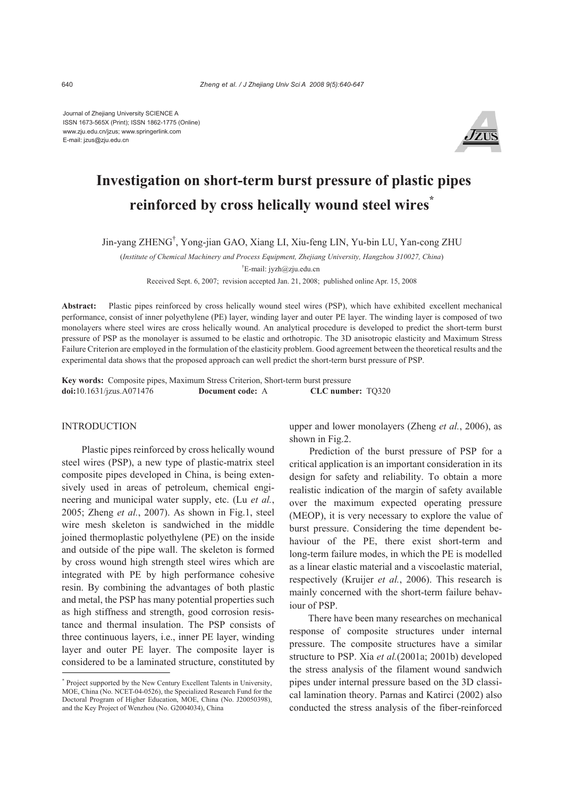Journal of Zhejiang University SCIENCE A ISSN 1673-565X (Print); ISSN 1862-1775 (Online) www.zju.edu.cn/jzus; www.springerlink.com E-mail: jzus@zju.edu.cn



# **Investigation on short-term burst pressure of plastic pipes reinforced by cross helically wound steel wires\***

Jin-yang ZHENG† , Yong-jian GAO, Xiang LI, Xiu-feng LIN, Yu-bin LU, Yan-cong ZHU

(*Institute of Chemical Machinery and Process Equipment, Zhejiang University, Hangzhou 310027, China*) † E-mail: jyzh@zju.edu.cn

Received Sept. 6, 2007; revision accepted Jan. 21, 2008; published online Apr. 15, 2008

**Abstract:** Plastic pipes reinforced by cross helically wound steel wires (PSP), which have exhibited excellent mechanical performance, consist of inner polyethylene (PE) layer, winding layer and outer PE layer. The winding layer is composed of two monolayers where steel wires are cross helically wound. An analytical procedure is developed to predict the short-term burst pressure of PSP as the monolayer is assumed to be elastic and orthotropic. The 3D anisotropic elasticity and Maximum Stress Failure Criterion are employed in the formulation of the elasticity problem. Good agreement between the theoretical results and the experimental data shows that the proposed approach can well predict the short-term burst pressure of PSP.

**Key words:** Composite pipes, Maximum Stress Criterion, Short-term burst pressure **doi:**10.1631/jzus.A071476 **Document code:** A **CLC number:** TQ320

## INTRODUCTION

Plastic pipes reinforced by cross helically wound steel wires (PSP), a new type of plastic-matrix steel composite pipes developed in China, is being extensively used in areas of petroleum, chemical engineering and municipal water supply, etc. (Lu *et al.*, 2005; Zheng *et al.*, 2007). As shown in Fig.1, steel wire mesh skeleton is sandwiched in the middle joined thermoplastic polyethylene (PE) on the inside and outside of the pipe wall. The skeleton is formed by cross wound high strength steel wires which are integrated with PE by high performance cohesive resin. By combining the advantages of both plastic and metal, the PSP has many potential properties such as high stiffness and strength, good corrosion resistance and thermal insulation. The PSP consists of three continuous layers, i.e., inner PE layer, winding layer and outer PE layer. The composite layer is considered to be a laminated structure, constituted by upper and lower monolayers (Zheng *et al.*, 2006), as shown in Fig.2.

Prediction of the burst pressure of PSP for a critical application is an important consideration in its design for safety and reliability. To obtain a more realistic indication of the margin of safety available over the maximum expected operating pressure (MEOP), it is very necessary to explore the value of burst pressure. Considering the time dependent behaviour of the PE, there exist short-term and long-term failure modes, in which the PE is modelled as a linear elastic material and a viscoelastic material, respectively (Kruijer *et al.*, 2006). This research is mainly concerned with the short-term failure behaviour of PSP.

There have been many researches on mechanical response of composite structures under internal pressure. The composite structures have a similar structure to PSP. Xia *et al.*(2001a; 2001b) developed the stress analysis of the filament wound sandwich pipes under internal pressure based on the 3D classical lamination theory. Parnas and Katirci (2002) also conducted the stress analysis of the fiber-reinforced

<sup>\*</sup> Project supported by the New Century Excellent Talents in University, MOE, China (No. NCET-04-0526), the Specialized Research Fund for the Doctoral Program of Higher Education, MOE, China (No. J20050398), and the Key Project of Wenzhou (No. G2004034), China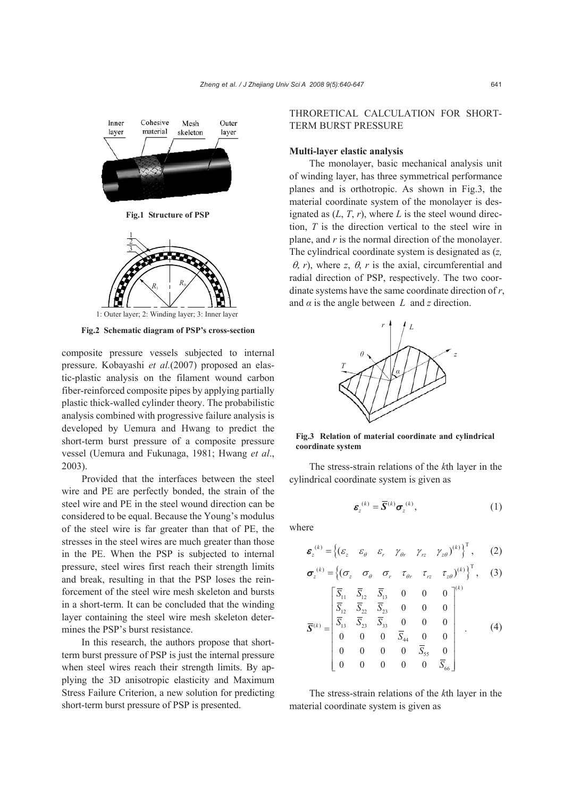

**Fig.2 Schematic diagram of PSP's cross-section**

composite pressure vessels subjected to internal pressure. Kobayashi *et al.*(2007) proposed an elastic-plastic analysis on the filament wound carbon fiber-reinforced composite pipes by applying partially plastic thick-walled cylinder theory. The probabilistic analysis combined with progressive failure analysis is developed by Uemura and Hwang to predict the short-term burst pressure of a composite pressure vessel (Uemura and Fukunaga, 1981; Hwang *et al*., 2003).

Provided that the interfaces between the steel wire and PE are perfectly bonded, the strain of the steel wire and PE in the steel wound direction can be considered to be equal. Because the Young's modulus of the steel wire is far greater than that of PE, the stresses in the steel wires are much greater than those in the PE. When the PSP is subjected to internal pressure, steel wires first reach their strength limits and break, resulting in that the PSP loses the reinforcement of the steel wire mesh skeleton and bursts in a short-term. It can be concluded that the winding layer containing the steel wire mesh skeleton determines the PSP's burst resistance.

In this research, the authors propose that shortterm burst pressure of PSP is just the internal pressure when steel wires reach their strength limits. By applying the 3D anisotropic elasticity and Maximum Stress Failure Criterion, a new solution for predicting short-term burst pressure of PSP is presented.

THRORETICAL CALCULATION FOR SHORT-TERM BURST PRESSURE

#### **Multi-layer elastic analysis**

The monolayer, basic mechanical analysis unit of winding layer, has three symmetrical performance planes and is orthotropic. As shown in Fig.3, the material coordinate system of the monolayer is designated as  $(L, T, r)$ , where  $L$  is the steel wound direction, *T* is the direction vertical to the steel wire in plane, and *r* is the normal direction of the monolayer. The cylindrical coordinate system is designated as (*z,*   $\theta$ , *r*), where *z*,  $\theta$ , *r* is the axial, circumferential and radial direction of PSP, respectively. The two coordinate systems have the same coordinate direction of *r*, and  $\alpha$  is the angle between *L* and *z* direction.



**Fig.3 Relation of material coordinate and cylindrical coordinate system**

The stress-strain relations of the *k*th layer in the cylindrical coordinate system is given as

$$
\boldsymbol{\varepsilon}_z^{(k)} = \overline{\mathbf{S}}^{(k)} \boldsymbol{\sigma}_z^{(k)},\tag{1}
$$

where

$$
\boldsymbol{\varepsilon}_{z}^{(k)} = \left\{ \left( \varepsilon_{z} \quad \varepsilon_{\theta} \quad \varepsilon_{r} \quad \gamma_{\theta r} \quad \gamma_{rz} \quad \gamma_{z\theta} \right)^{(k)} \right\}^{T}, \qquad (2)
$$

$$
\boldsymbol{\sigma}_{z}^{(k)} = \left\{ (\sigma_{z} \quad \sigma_{\theta} \quad \sigma_{r} \quad \tau_{\theta r} \quad \tau_{rz} \quad \tau_{z\theta})^{(k)} \right\}^{T}, \quad (3)
$$

$$
\overline{\mathbf{S}}^{(k)} = \begin{bmatrix} \overline{S}_{11} & \overline{S}_{12} & \overline{S}_{13} & 0 & 0 & 0 \\ \overline{S}_{12} & \overline{S}_{22} & \overline{S}_{23} & 0 & 0 & 0 \\ \overline{S}_{13} & \overline{S}_{23} & \overline{S}_{33} & 0 & 0 & 0 \\ 0 & 0 & 0 & \overline{S}_{44} & 0 & 0 \\ 0 & 0 & 0 & \overline{S}_{55} & 0 \\ 0 & 0 & 0 & 0 & \overline{S}_{66} \end{bmatrix} . \tag{4}
$$

The stress-strain relations of the *k*th layer in the material coordinate system is given as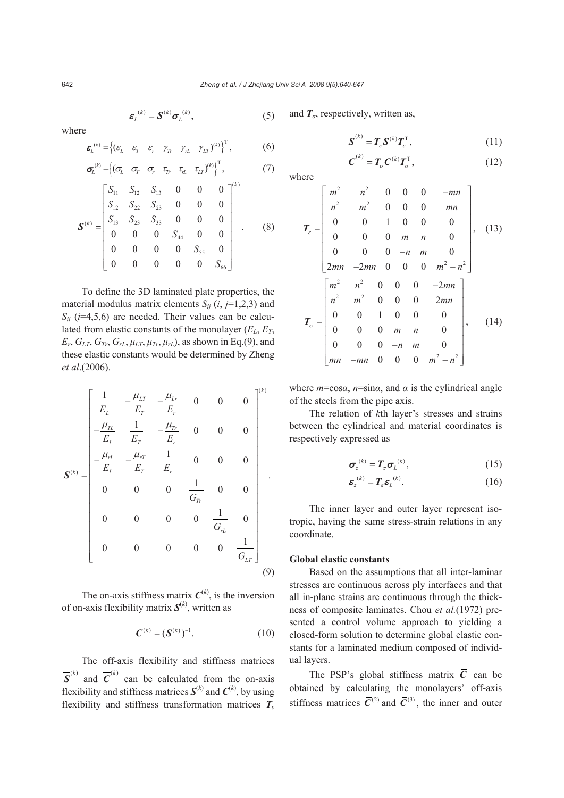$$
\boldsymbol{\varepsilon}_{L}^{(k)} = \boldsymbol{S}^{(k)} \boldsymbol{\sigma}_{L}^{(k)}, \tag{5}
$$

where

$$
\boldsymbol{\varepsilon}_{L}^{(k)} = \left\{ (\varepsilon_{L} \quad \varepsilon_{T} \quad \varepsilon_{r} \quad \gamma_{T} \quad \gamma_{rL} \quad \gamma_{LT})^{(k)} \right\}^{T}, \tag{6}
$$

$$
\sigma_{L}^{(k)} = \begin{cases}\n(\sigma_{L} & \sigma_{T} & \sigma_{r} & \tau_{T} & \tau_{L} & \tau_{LT}\n\end{cases}^{(k)}\n\begin{cases}\nS_{11} & S_{12} & S_{13} & 0 & 0 & 0 \\
S_{12} & S_{22} & S_{23} & 0 & 0 & 0 \\
S_{13} & S_{23} & S_{33} & 0 & 0 & 0 \\
0 & 0 & 0 & S_{44} & 0 & 0 \\
0 & 0 & 0 & 0 & S_{55} & 0 \\
0 & 0 & 0 & 0 & 0 & S_{66}\n\end{cases} (7)
$$

To define the 3D laminated plate properties, the material modulus matrix elements  $S_{ij}$  (*i*, *j*=1,2,3) and  $S_{ii}$  ( $i=4,5,6$ ) are needed. Their values can be calculated from elastic constants of the monolayer  $(E_L, E_T)$ ,  $E_r$ ,  $G_{LT}$ ,  $G_{Tr}$ ,  $G_{rL}$ ,  $\mu_{LT}$ ,  $\mu_{Tr}$ ,  $\mu_{rL}$ ), as shown in Eq.(9), and these elastic constants would be determined by Zheng *et al*.(2006).

$$
\mathbf{S}^{(k)} = \begin{bmatrix} \frac{1}{E_L} & -\frac{\mu_{LT}}{E_T} & -\frac{\mu_{Lr}}{E_r} & 0 & 0 & 0\\ -\frac{\mu_{TL}}{E_L} & \frac{1}{E_T} & -\frac{\mu_{rr}}{E_r} & 0 & 0 & 0\\ -\frac{\mu_{rL}}{E_L} & -\frac{\mu_{rT}}{E_T} & \frac{1}{E_r} & 0 & 0 & 0\\ 0 & 0 & 0 & \frac{1}{G_{Tr}} & 0 & 0\\ 0 & 0 & 0 & 0 & \frac{1}{G_{rL}} & 0\\ 0 & 0 & 0 & 0 & 0 & \frac{1}{G_{LT}} \end{bmatrix}
$$
(9)

The on-axis stiffness matrix  $C^{(k)}$ , is the inversion of on-axis flexibility matrix  $S^{(k)}$ , written as

$$
C^{(k)} = (S^{(k)})^{-1}.
$$
 (10)

The off-axis flexibility and stiffness matrices  $\overline{\mathbf{S}}^{(k)}$  $\overline{S}^{(k)}$  and  $\overline{C}^{(k)}$  can be calculated from the on-axis flexibility and stiffness matrices  $S^{(k)}$  and  $C^{(k)}$ , by using flexibility and stiffness transformation matrices *T<sup>ε</sup>*

and  $T_{\sigma}$ , respectively, written as,

$$
\overline{\mathbf{S}}^{(k)} = T_{\varepsilon} \mathbf{S}^{(k)} T_{\varepsilon}^{\mathrm{T}}, \tag{11}
$$

$$
\overline{C}^{(k)} = T_{\sigma} C^{(k)} T_{\sigma}^{\mathrm{T}}, \qquad (12)
$$

where

$$
T_c = \begin{bmatrix} m^2 & n^2 & 0 & 0 & 0 & -mn \\ n^2 & m^2 & 0 & 0 & 0 & mn \\ 0 & 0 & 1 & 0 & 0 & 0 \\ 0 & 0 & 0 & m & n & 0 \\ 0 & 0 & 0 & -n & m & 0 \\ 2mn & -2mn & 0 & 0 & 0 & m^2 - n^2 \end{bmatrix},
$$
 (13)  
\n
$$
T_{\sigma} = \begin{bmatrix} m^2 & n^2 & 0 & 0 & 0 & -2mn \\ n^2 & m^2 & 0 & 0 & 0 & 2mn \\ 0 & 0 & 1 & 0 & 0 & 0 \\ 0 & 0 & 0 & m & n & 0 \\ 0 & 0 & 0 & -n & m & 0 \\ 0 & 0 & 0 & -n & m & 0 \\ 0 & m & -mn & 0 & 0 & 0 & m^2 - n^2 \end{bmatrix},
$$
 (14)

where  $m = \cos \alpha$ ,  $n = \sin \alpha$ , and  $\alpha$  is the cylindrical angle of the steels from the pipe axis.

The relation of *k*th layer's stresses and strains between the cylindrical and material coordinates is respectively expressed as

$$
\sigma_z^{(k)} = T_\sigma \sigma_L^{(k)},\tag{15}
$$

$$
\boldsymbol{\varepsilon}_{z}^{(k)} = \boldsymbol{T}_{\varepsilon} \boldsymbol{\varepsilon}_{L}^{(k)}.
$$
 (16)

The inner layer and outer layer represent isotropic, having the same stress-strain relations in any coordinate.

## **Global elastic constants**

Based on the assumptions that all inter-laminar stresses are continuous across ply interfaces and that all in-plane strains are continuous through the thickness of composite laminates. Chou *et al.*(1972) presented a control volume approach to yielding a closed-form solution to determine global elastic constants for a laminated medium composed of individual layers.

The PSP's global stiffness matrix  $\overline{C}$  can be obtained by calculating the monolayers' off-axis stiffness matrices  $\overline{C}^{(2)}$  and  $\overline{C}^{(3)}$ , the inner and outer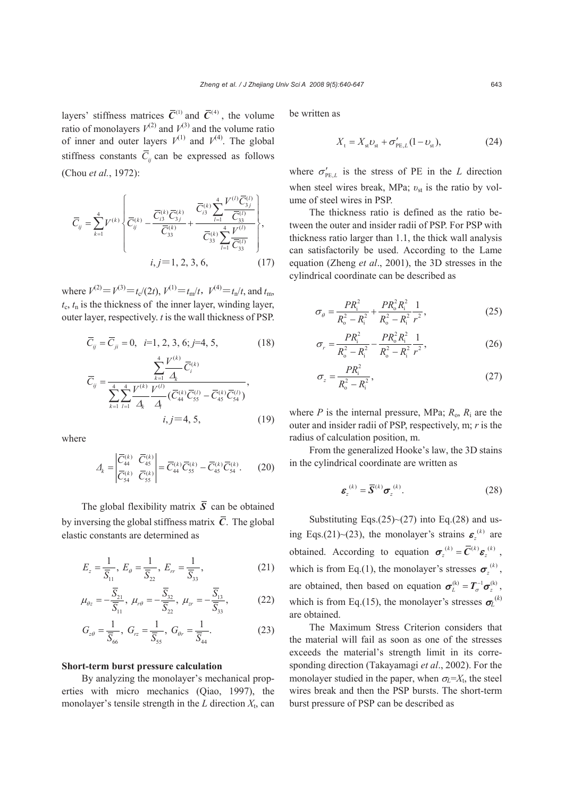layers' stiffness matrices  $\overline{C}^{(1)}$  and  $\overline{C}^{(4)}$ , the volume ratio of monolayers  $V^{(2)}$  and  $V^{(3)}$  and the volume ratio of inner and outer layers  $V^{(1)}$  and  $V^{(4)}$ . The global stiffness constants  $\overline{C}_i$  can be expressed as follows (Chou *et al.*, 1972):

$$
\overline{C}_{ij} = \sum_{k=1}^{4} V^{(k)} \left\{ \overline{C}_{ij}^{(k)} - \frac{\overline{C}_{i3}^{(k)} \overline{C}_{3j}^{(k)}}{\overline{C}_{33}^{(k)}} + \frac{\overline{C}_{i3}^{(k)} \sum_{l=1}^{4} \frac{V^{(l)} \overline{C}_{3j}^{(l)}}{\overline{C}_{33}^{(l)}}}{\overline{C}_{33}^{(k)} \sum_{l=1}^{4} \frac{V^{(l)}}{\overline{C}_{33}^{(l)}}} \right\},\,
$$
  
 $i, j=1, 2, 3, 6,$  (17)

where  $V^{(2)} = V^{(3)} = t_c/(2t)$ ,  $V^{(1)} = t_m/t$ ,  $V^{(4)} = t_n/t$ , and  $t_m$ ,  $t_c$ ,  $t_n$  is the thickness of the inner layer, winding layer, outer layer, respectively. *t* is the wall thickness of PSP.

$$
\overline{C}_{ij} = \overline{C}_{ji} = 0, \ \ i=1, 2, 3, 6; j=4, 5,
$$
 (18)

$$
\overline{C}_{ij} = \frac{\sum_{k=1}^{4} \frac{V^{(k)}}{\Delta_k} \overline{C}_{i}^{(k)}}{\sum_{k=1}^{4} \sum_{l=1}^{4} \frac{V^{(k)}}{\Delta_k} \frac{V^{(l)}}{\Delta_l} (\overline{C}_{44}^{(k)} \overline{C}_{55}^{(l)} - \overline{C}_{45}^{(k)} \overline{C}_{54}^{(l)})},
$$
\n*i, j=4, 5,* (19)

where

$$
\Delta_k = \begin{vmatrix} \overline{C}_{44}^{(k)} & \overline{C}_{45}^{(k)} \\ \overline{C}_{54}^{(k)} & \overline{C}_{55}^{(k)} \end{vmatrix} = \overline{C}_{44}^{(k)} \overline{C}_{55}^{(k)} - \overline{C}_{45}^{(k)} \overline{C}_{54}^{(k)}.
$$
 (20)

The global flexibility matrix  $\overline{S}$  can be obtained by inversing the global stiffness matrix  $\overline{C}$ . The global elastic constants are determined as

$$
E_z = \frac{1}{\overline{S}_{11}}, \ E_{\theta} = \frac{1}{\overline{S}_{22}}, \ E_{rr} = \frac{1}{\overline{S}_{33}}, \tag{21}
$$

$$
\mu_{\theta z} = -\frac{\overline{S}_{21}}{\overline{S}_{11}}, \ \mu_{r\theta} = -\frac{\overline{S}_{32}}{\overline{S}_{22}}, \ \mu_{zr} = -\frac{\overline{S}_{13}}{\overline{S}_{33}}, \tag{22}
$$

$$
G_{z\theta} = \frac{1}{\overline{S}_{66}}, \ G_{rz} = \frac{1}{\overline{S}_{55}}, \ G_{\theta r} = \frac{1}{\overline{S}_{44}}.
$$
 (23)

#### **Short-term burst pressure calculation**

By analyzing the monolayer's mechanical properties with micro mechanics (Qiao, 1997), the monolayer's tensile strength in the  $L$  direction  $X_t$ , can be written as

$$
X_{t} = X_{st} \nu_{st} + \sigma'_{PE, L} (1 - \nu_{st}), \tag{24}
$$

where  $\sigma'_{PE,L}$  is the stress of PE in the *L* direction when steel wires break, MPa; *v*<sub>st</sub> is the ratio by volume of steel wires in PSP.

The thickness ratio is defined as the ratio between the outer and insider radii of PSP. For PSP with thickness ratio larger than 1.1, the thick wall analysis can satisfactorily be used. According to the Lame equation (Zheng *et al*., 2001), the 3D stresses in the cylindrical coordinate can be described as

$$
\sigma_{\theta} = \frac{PR_{i}^{2}}{R_{o}^{2} - R_{i}^{2}} + \frac{PR_{o}^{2}R_{i}^{2}}{R_{o}^{2} - R_{i}^{2}} \frac{1}{r^{2}},
$$
\n(25)

$$
\sigma_r = \frac{PR_i^2}{R_o^2 - R_i^2} - \frac{PR_o^2 R_i^2}{R_o^2 - R_i^2} \frac{1}{r^2},\tag{26}
$$

$$
\sigma_z = \frac{PR_i^2}{R_o^2 - R_i^2},\tag{27}
$$

where *P* is the internal pressure, MPa;  $R_0$ ,  $R_i$  are the outer and insider radii of PSP, respectively, m; *r* is the radius of calculation position, m.

From the generalized Hooke's law, the 3D stains in the cylindrical coordinate are written as

$$
\boldsymbol{\varepsilon}_{z}^{(k)} = \overline{\mathbf{S}}^{(k)} \boldsymbol{\sigma}_{z}^{(k)}.
$$
 (28)

Substituting Eqs. $(25)$  ~ $(27)$  into Eq. $(28)$  and using Eqs.(21)~(23), the monolayer's strains  $\varepsilon_z^{(k)}$  are obtained. According to equation  $\sigma_z^{(k)} = \overline{C}^{(k)} \varepsilon_z^{(k)}$ , which is from Eq.(1), the monolayer's stresses  $\sigma_{i}^{(k)}$ , are obtained, then based on equation  $\sigma_L^{(k)} = T_{\sigma}^{-1} \sigma_z^{(k)}$ , which is from Eq.(15), the monolayer's stresses  $\sigma_L^{(k)}$ are obtained.

The Maximum Stress Criterion considers that the material will fail as soon as one of the stresses exceeds the material's strength limit in its corresponding direction (Takayamagi *et al*., 2002). For the monolayer studied in the paper, when  $\sigma_L = X_t$ , the steel wires break and then the PSP bursts. The short-term burst pressure of PSP can be described as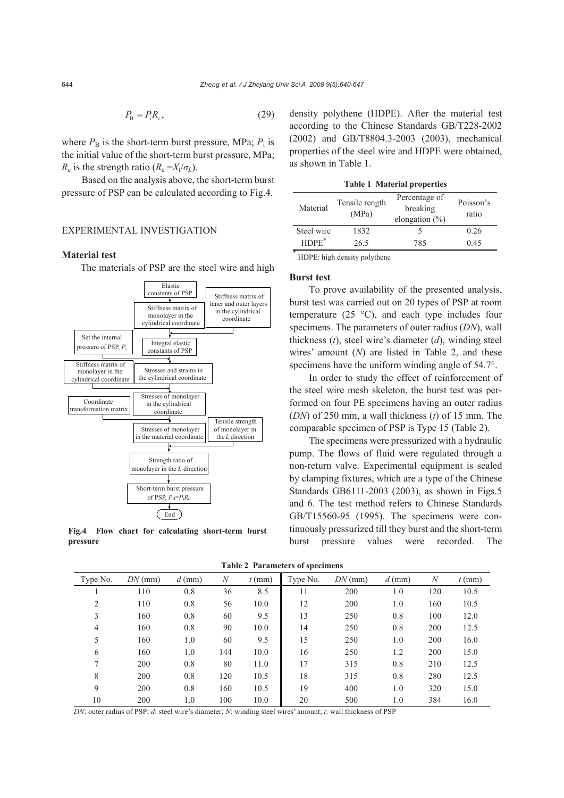$$
P_{\rm B} = P_{\rm i} R_{\rm c},\tag{29}
$$

where  $P_B$  is the short-term burst pressure, MPa;  $P_i$  is the initial value of the short-term burst pressure, MPa; *R*<sub>c</sub> is the strength ratio ( $R_c = X_t/\sigma_L$ ).

Based on the analysis above, the short-term burst pressure of PSP can be calculated according to Fig.4.

## EXPERIMENTAL INVESTIGATION

### **Material test**

The materials of PSP are the steel wire and high



**Fig.4 Flow chart for calculating short-term burst pressure**

density polythene (HDPE). After the material test according to the Chinese Standards GB/T228-2002 (2002) and GB/T8804.3-2003 (2003), mechanical properties of the steel wire and HDPE were obtained, as shown in Table 1.

**Table 1 Material properties**

| Material   | Tensile rength<br>(MPa)   | Percentage of<br>breaking<br>elongation $(\% )$ | Poisson's<br>ratio |
|------------|---------------------------|-------------------------------------------------|--------------------|
| Steel wire | 1832                      |                                                 | 0.26               |
| $HDPE^*$   | 26.5                      | 785                                             | 0.45               |
| 宋          | 11 <b>BBB</b> 1 1 1 1 1 1 |                                                 |                    |

HDPE: high density polythene

#### **Burst test**

To prove availability of the presented analysis, burst test was carried out on 20 types of PSP at room temperature (25 °C), and each type includes four specimens. The parameters of outer radius (*DN*), wall thickness (*t*), steel wire's diameter (*d*), winding steel wires' amount (*N*) are listed in Table 2, and these specimens have the uniform winding angle of 54.7°.

In order to study the effect of reinforcement of the steel wire mesh skeleton, the burst test was performed on four PE specimens having an outer radius (*DN*) of 250 mm, a wall thickness (*t*) of 15 mm. The comparable specimen of PSP is Type 15 (Table 2).

The specimens were pressurized with a hydraulic pump. The flows of fluid were regulated through a non-return valve. Experimental equipment is sealed by clamping fixtures, which are a type of the Chinese Standards GB6111-2003 (2003), as shown in Figs.5 and 6. The test method refers to Chinese Standards GB/T15560-95 (1995). The specimens were continuously pressurized till they burst and the short-term burst pressure values were recorded. The

|  |  | <b>Table 2 Parameters of specimens</b> |
|--|--|----------------------------------------|
|--|--|----------------------------------------|

| Type No.       | $DN$ (mm) | $d$ (mm) | $\boldsymbol{N}$ | $t$ (mm) | Type No. | $DN$ (mm) | $d$ (mm) | $\boldsymbol{N}$ | $t$ (mm) |
|----------------|-----------|----------|------------------|----------|----------|-----------|----------|------------------|----------|
|                | 110       | 0.8      | 36               | 8.5      | 11       | 200       | 1.0      | 120              | 10.5     |
| 2              | 110       | 0.8      | 56               | 10.0     | 12       | 200       | 1.0      | 160              | 10.5     |
| 3              | 160       | 0.8      | 60               | 9.5      | 13       | 250       | 0.8      | 100              | 12.0     |
| 4              | 160       | 0.8      | 90               | 10.0     | 14       | 250       | 0.8      | 200              | 12.5     |
| 5              | 160       | 1.0      | 60               | 9.5      | 15       | 250       | 1.0      | 200              | 16.0     |
| 6              | 160       | 1.0      | 144              | 10.0     | 16       | 250       | 1.2      | 200              | 15.0     |
| $\overline{ }$ | 200       | 0.8      | 80               | 11.0     | 17       | 315       | 0.8      | 210              | 12.5     |
| 8              | 200       | 0.8      | 120              | 10.5     | 18       | 315       | 0.8      | 280              | 12.5     |
| 9              | 200       | 0.8      | 160              | 10.5     | 19       | 400       | 1.0      | 320              | 15.0     |
| 10             | 200       | 1.0      | 100              | 10.0     | 20       | 500       | 1.0      | 384              | 16.0     |

 *DN*: outer radius of PSP; *d*: steel wire's diameter; *N*: winding steel wires' amount; *t*: wall thickness of PSP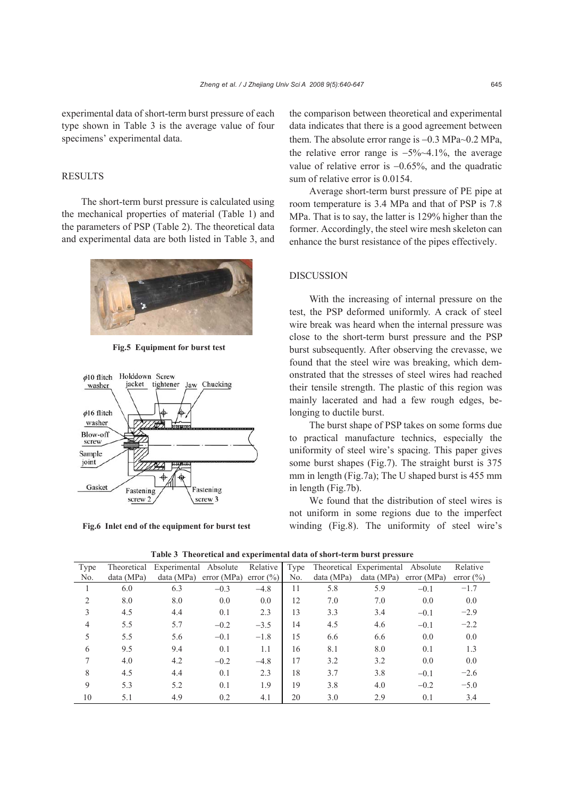# **RESULTS**

The short-term burst pressure is calculated using the mechanical properties of material (Table 1) and the parameters of PSP (Table 2). The theoretical data and experimental data are both listed in Table 3, and



**Fig.5 Equipment for burst test**



**Fig.6 Inlet end of the equipment for burst test**

the comparison between theoretical and experimental data indicates that there is a good agreement between them. The absolute error range is −0.3 MPa~0.2 MPa, the relative error range is −5%~4.1%, the average value of relative error is −0.65%, and the quadratic sum of relative error is 0.0154.

Average short-term burst pressure of PE pipe at room temperature is 3.4 MPa and that of PSP is 7.8 MPa. That is to say, the latter is 129% higher than the former. Accordingly, the steel wire mesh skeleton can enhance the burst resistance of the pipes effectively.

## DISCUSSION

With the increasing of internal pressure on the test, the PSP deformed uniformly. A crack of steel wire break was heard when the internal pressure was close to the short-term burst pressure and the PSP burst subsequently. After observing the crevasse, we found that the steel wire was breaking, which demonstrated that the stresses of steel wires had reached their tensile strength. The plastic of this region was mainly lacerated and had a few rough edges, belonging to ductile burst.

The burst shape of PSP takes on some forms due to practical manufacture technics, especially the uniformity of steel wire's spacing. This paper gives some burst shapes (Fig.7). The straight burst is 375 mm in length (Fig.7a); The U shaped burst is 455 mm in length (Fig.7b).

We found that the distribution of steel wires is not uniform in some regions due to the imperfect winding (Fig.8). The uniformity of steel wire's

|  |  |  | Table 3 Theoretical and experimental data of short-term burst pressure |  |
|--|--|--|------------------------------------------------------------------------|--|
|--|--|--|------------------------------------------------------------------------|--|

| Type           | Theoretical | Experimental Absolute |            | Relative      | Type |            | Theoretical Experimental Absolute |            | Relative      |
|----------------|-------------|-----------------------|------------|---------------|------|------------|-----------------------------------|------------|---------------|
| No.            | data (MPa)  | data (MPa)            | error(MPa) | error $(\% )$ | No.  | data (MPa) | data(MPa)                         | error(MPa) | error $(\% )$ |
|                | 6.0         | 6.3                   | $-0.3$     | $-4.8$        | 11   | 5.8        | 5.9                               | $-0.1$     | $-1.7$        |
| $\overline{c}$ | 8.0         | 8.0                   | 0.0        | 0.0           | 12   | 7.0        | 7.0                               | 0.0        | 0.0           |
| 3              | 4.5         | 4.4                   | 0.1        | 2.3           | 13   | 3.3        | 3.4                               | $-0.1$     | $-2.9$        |
| 4              | 5.5         | 5.7                   | $-0.2$     | $-3.5$        | 14   | 4.5        | 4.6                               | $-0.1$     | $-2.2$        |
| 5              | 5.5         | 5.6                   | $-0.1$     | $-1.8$        | 15   | 6.6        | 6.6                               | 0.0        | 0.0           |
| 6              | 9.5         | 9.4                   | 0.1        | 1.1           | 16   | 8.1        | 8.0                               | 0.1        | 1.3           |
| 7              | 4.0         | 4.2                   | $-0.2$     | $-4.8$        | 17   | 3.2        | 3.2                               | 0.0        | 0.0           |
| 8              | 4.5         | 4.4                   | 0.1        | 2.3           | 18   | 3.7        | 3.8                               | $-0.1$     | $-2.6$        |
| 9              | 5.3         | 5.2                   | 0.1        | 1.9           | 19   | 3.8        | 4.0                               | $-0.2$     | $-5.0$        |
| 10             | 5.1         | 4.9                   | 0.2        | 4.1           | 20   | 3.0        | 2.9                               | 0.1        | 3.4           |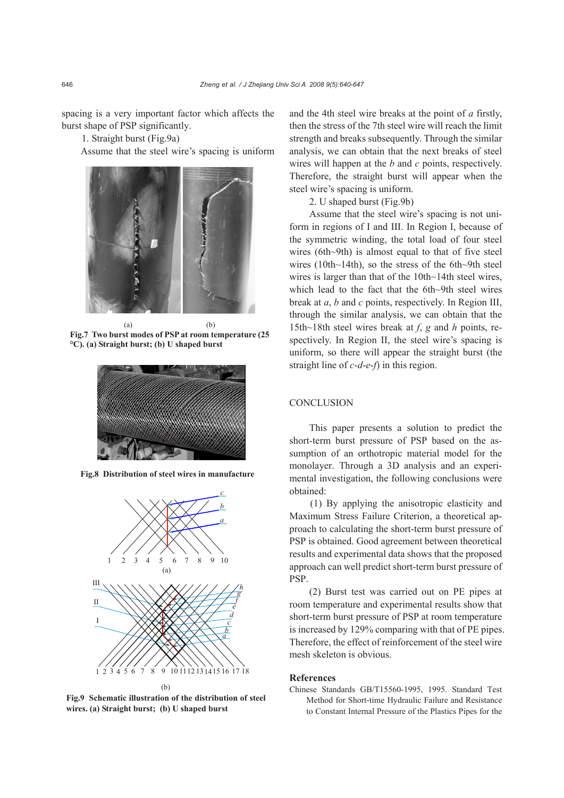spacing is a very important factor which affects the burst shape of PSP significantly.

1. Straight burst (Fig.9a)

Assume that the steel wire's spacing is uniform



(a) (b) **Fig.7 Two burst modes of PSP at room temperature (25 °C). (a) Straight burst; (b) U shaped burst**



**Fig.8 Distribution of steel wires in manufacture**



**Fig.9 Schematic illustration of the distribution of steel wires. (a) Straight burst; (b) U shaped burst** 

and the 4th steel wire breaks at the point of *a* firstly, then the stress of the 7th steel wire will reach the limit strength and breaks subsequently. Through the similar analysis, we can obtain that the next breaks of steel wires will happen at the *b* and *c* points, respectively. Therefore, the straight burst will appear when the steel wire's spacing is uniform.

2. U shaped burst (Fig.9b)

Assume that the steel wire's spacing is not uniform in regions of I and III. In Region I, because of the symmetric winding, the total load of four steel wires (6th~9th) is almost equal to that of five steel wires (10th~14th), so the stress of the 6th~9th steel wires is larger than that of the 10th~14th steel wires, which lead to the fact that the 6th~9th steel wires break at *a*, *b* and *c* points, respectively. In Region III, through the similar analysis, we can obtain that the 15th~18th steel wires break at *f*, *g* and *h* points, respectively. In Region II, the steel wire's spacing is uniform, so there will appear the straight burst (the straight line of *c*-*d*-*e*-*f*) in this region.

# **CONCLUSION**

This paper presents a solution to predict the short-term burst pressure of PSP based on the assumption of an orthotropic material model for the monolayer. Through a 3D analysis and an experimental investigation, the following conclusions were obtained:

(1) By applying the anisotropic elasticity and Maximum Stress Failure Criterion, a theoretical approach to calculating the short-term burst pressure of PSP is obtained. Good agreement between theoretical results and experimental data shows that the proposed approach can well predict short-term burst pressure of PSP.

(2) Burst test was carried out on PE pipes at room temperature and experimental results show that short-term burst pressure of PSP at room temperature is increased by 129% comparing with that of PE pipes. Therefore, the effect of reinforcement of the steel wire mesh skeleton is obvious.

## **References**

Chinese Standards GB/T15560-1995, 1995. Standard Test Method for Short-time Hydraulic Failure and Resistance to Constant Internal Pressure of the Plastics Pipes for the